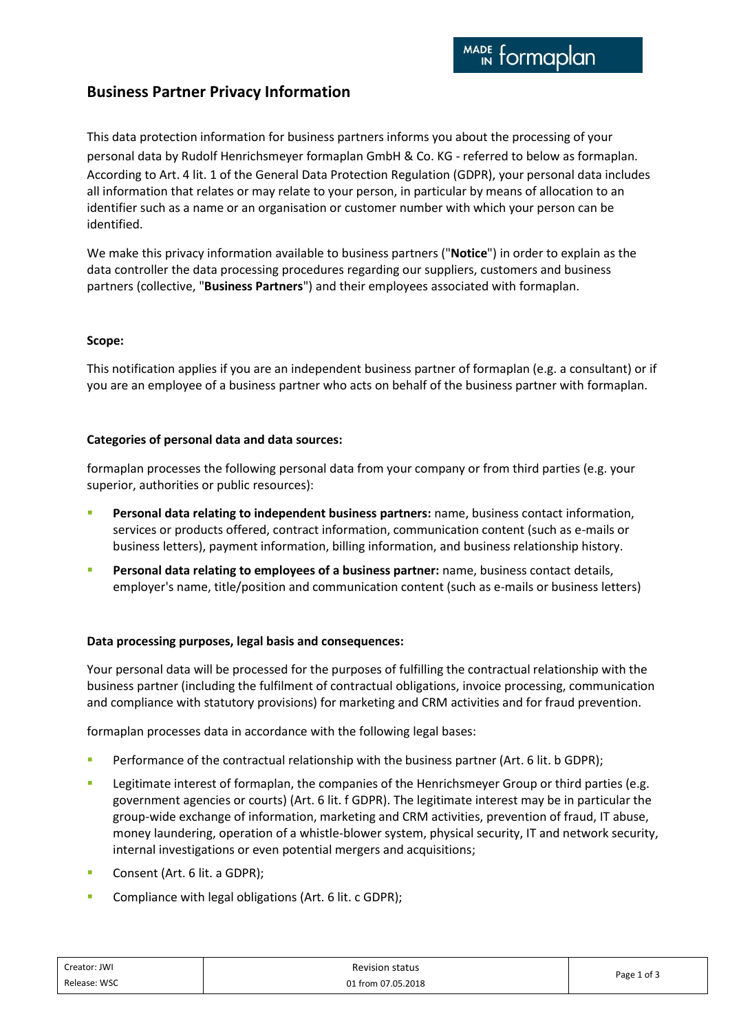# **Business Partner Privacy Information**

This data protection information for business partners informs you about the processing of your personal data by Rudolf Henrichsmeyer formaplan GmbH & Co. KG - referred to below as formaplan. According to Art. 4 lit. 1 of the General Data Protection Regulation (GDPR), your personal data includes all information that relates or may relate to your person, in particular by means of allocation to an identifier such as a name or an organisation or customer number with which your person can be identified.

We make this privacy information available to business partners ("**Notice**") in order to explain as the data controller the data processing procedures regarding our suppliers, customers and business partners (collective, "**Business Partners**") and their employees associated with formaplan.

## **Scope:**

This notification applies if you are an independent business partner of formaplan (e.g. a consultant) or if you are an employee of a business partner who acts on behalf of the business partner with formaplan.

## **Categories of personal data and data sources:**

formaplan processes the following personal data from your company or from third parties (e.g. your superior, authorities or public resources):

- **Personal data relating to independent business partners:** name, business contact information, services or products offered, contract information, communication content (such as e-mails or business letters), payment information, billing information, and business relationship history.
- Personal data relating to employees of a business partner: name, business contact details, employer's name, title/position and communication content (such as e-mails or business letters)

## **Data processing purposes, legal basis and consequences:**

Your personal data will be processed for the purposes of fulfilling the contractual relationship with the business partner (including the fulfilment of contractual obligations, invoice processing, communication and compliance with statutory provisions) for marketing and CRM activities and for fraud prevention.

formaplan processes data in accordance with the following legal bases:

- Performance of the contractual relationship with the business partner (Art. 6 lit. b GDPR);
- **EXECT** Legitimate interest of formaplan, the companies of the Henrichsmeyer Group or third parties (e.g. government agencies or courts) (Art. 6 lit. f GDPR). The legitimate interest may be in particular the group-wide exchange of information, marketing and CRM activities, prevention of fraud, IT abuse, money laundering, operation of a whistle-blower system, physical security, IT and network security, internal investigations or even potential mergers and acquisitions;
- Consent (Art. 6 lit. a GDPR);
- **EXECOMPLEANCE COMPLEGE IS COMPLEM** Compliance with legal obligations (Art. 6 lit. c GDPR);

| Creator: JWI | <b>Revision status</b> | Page 1 of 3 |
|--------------|------------------------|-------------|
| Release: WSC | 01 from 07.05.2018     |             |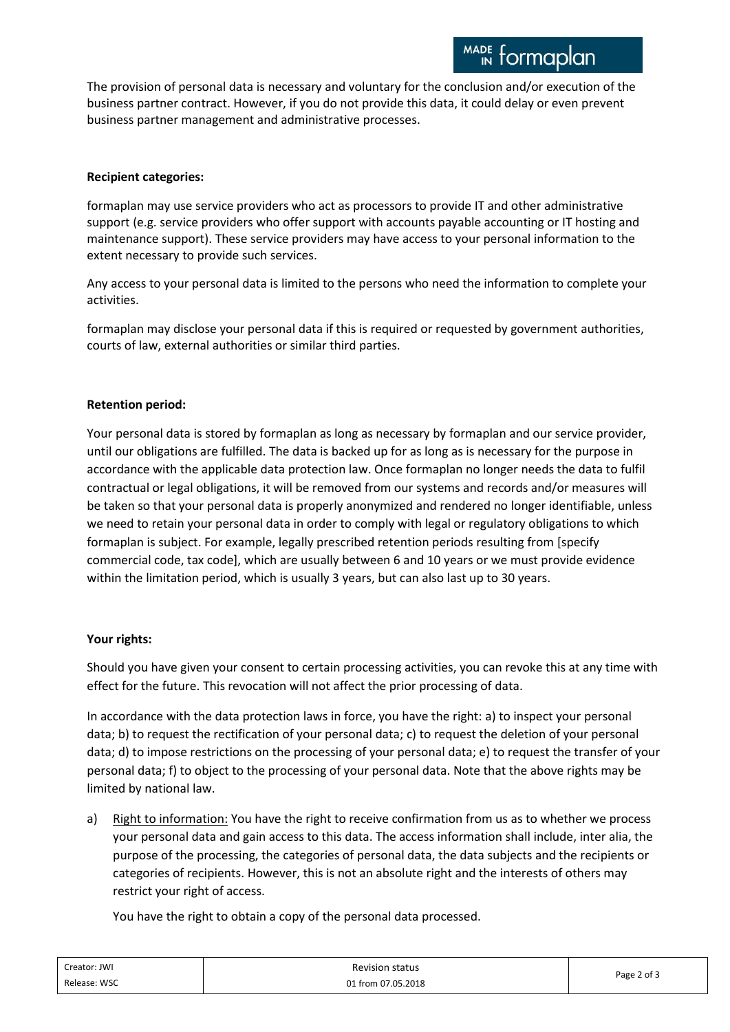The provision of personal data is necessary and voluntary for the conclusion and/or execution of the business partner contract. However, if you do not provide this data, it could delay or even prevent business partner management and administrative processes.

## **Recipient categories:**

formaplan may use service providers who act as processors to provide IT and other administrative support (e.g. service providers who offer support with accounts payable accounting or IT hosting and maintenance support). These service providers may have access to your personal information to the extent necessary to provide such services.

Any access to your personal data is limited to the persons who need the information to complete your activities.

formaplan may disclose your personal data if this is required or requested by government authorities, courts of law, external authorities or similar third parties.

# **Retention period:**

Your personal data is stored by formaplan as long as necessary by formaplan and our service provider, until our obligations are fulfilled. The data is backed up for as long as is necessary for the purpose in accordance with the applicable data protection law. Once formaplan no longer needs the data to fulfil contractual or legal obligations, it will be removed from our systems and records and/or measures will be taken so that your personal data is properly anonymized and rendered no longer identifiable, unless we need to retain your personal data in order to comply with legal or regulatory obligations to which formaplan is subject. For example, legally prescribed retention periods resulting from [specify commercial code, tax code], which are usually between 6 and 10 years or we must provide evidence within the limitation period, which is usually 3 years, but can also last up to 30 years.

## **Your rights:**

Should you have given your consent to certain processing activities, you can revoke this at any time with effect for the future. This revocation will not affect the prior processing of data.

In accordance with the data protection laws in force, you have the right: a) to inspect your personal data; b) to request the rectification of your personal data; c) to request the deletion of your personal data; d) to impose restrictions on the processing of your personal data; e) to request the transfer of your personal data; f) to object to the processing of your personal data. Note that the above rights may be limited by national law.

a) Right to information: You have the right to receive confirmation from us as to whether we process your personal data and gain access to this data. The access information shall include, inter alia, the purpose of the processing, the categories of personal data, the data subjects and the recipients or categories of recipients. However, this is not an absolute right and the interests of others may restrict your right of access.

You have the right to obtain a copy of the personal data processed.

| Creator: JWI | <b>Revision status</b> | Page 2 of 3 |
|--------------|------------------------|-------------|
| Release: WSC | 01 from 07.05.2018     |             |